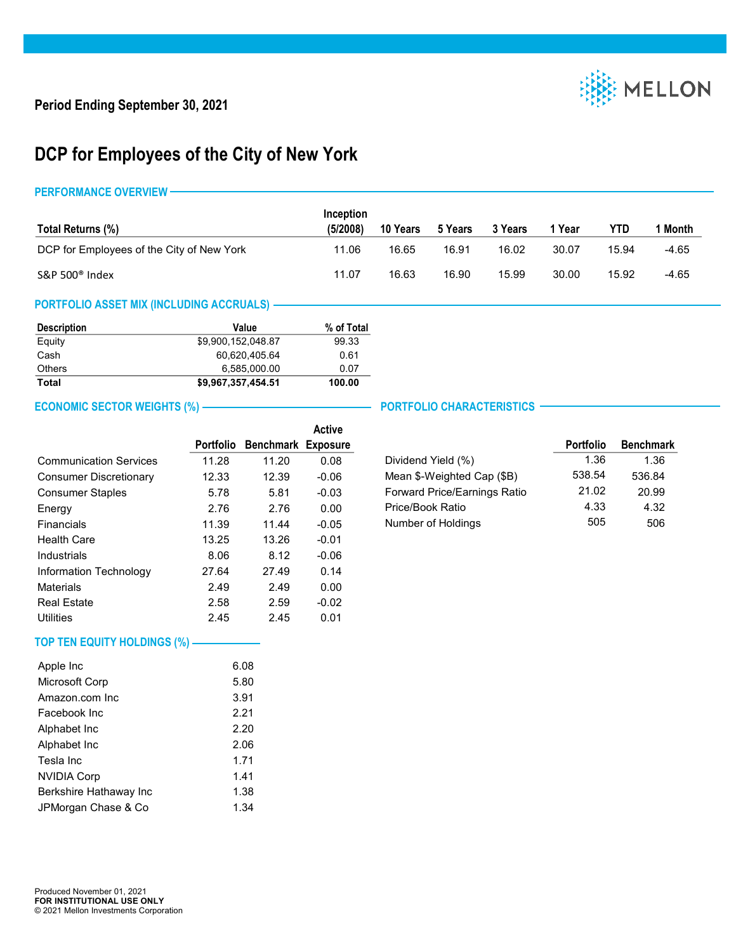

## **DCP for Employees of the City of New York**

### **PERFORMANCE OVERVIEW**

|                                           | Inception |          |         |         |        |       |         |
|-------------------------------------------|-----------|----------|---------|---------|--------|-------|---------|
| Total Returns (%)                         | (5/2008)  | 10 Years | 5 Years | 3 Years | 1 Year | YTD   | 1 Month |
| DCP for Employees of the City of New York | 11.06     | 16.65    | 16.91   | 16.02   | 30.07  | 15.94 | $-4.65$ |
| S&P 500 <sup>®</sup> Index                | 11.07     | 16.63    | 16.90   | 15.99   | 30.00  | 15.92 | $-4.65$ |

## **PORTFOLIO ASSET MIX (INCLUDING ACCRUALS)**

| <b>Description</b> | Value              | % of Total |
|--------------------|--------------------|------------|
| Equity             | \$9.900.152.048.87 | 99.33      |
| Cash               | 60.620.405.64      | 0.61       |
| Others             | 6.585.000.00       | 0.07       |
| Total              | \$9,967,357,454.51 | 100.00     |

## **ECONOMIC SECTOR WEIGHTS (%)** — **PORTFOLIO CHARACTERISTICS**

|                               |                  |                  | <b>Active</b>   |
|-------------------------------|------------------|------------------|-----------------|
|                               | <b>Portfolio</b> | <b>Benchmark</b> | <b>Exposure</b> |
| <b>Communication Services</b> | 11.28            | 11.20            | 0.08            |
| <b>Consumer Discretionary</b> | 12.33            | 12.39            | $-0.06$         |
| <b>Consumer Staples</b>       | 5.78             | 5.81             | $-0.03$         |
| Energy                        | 2.76             | 2.76             | 0.00            |
| Financials                    | 11.39            | 11.44            | $-0.05$         |
| <b>Health Care</b>            | 13.25            | 13.26            | $-0.01$         |
| Industrials                   | 8.06             | 8.12             | $-0.06$         |
| Information Technology        | 27.64            | 27.49            | 0.14            |
| Materials                     | 2.49             | 2.49             | 0.00            |
| <b>Real Estate</b>            | 2.58             | 2.59             | $-0.02$         |
| Utilities                     | 2.45             | 2.45             | 0.01            |

|                              | <b>Portfolio</b> | <b>Benchmark</b> |
|------------------------------|------------------|------------------|
| Dividend Yield (%)           | 1.36             | 1.36             |
| Mean \$-Weighted Cap (\$B)   | 538.54           | 536.84           |
| Forward Price/Earnings Ratio | 21.02            | 20.99            |
| Price/Book Ratio             | 4.33             | 4.32             |
| Number of Holdings           | 505              | 506              |

# **TOP TEN EQUITY HOLDINGS (%)**

| Apple Inc              | 6.08 |
|------------------------|------|
| Microsoft Corp         | 5.80 |
| Amazon.com Inc.        | 3.91 |
| Facebook Inc.          | 2.21 |
| Alphabet Inc           | 2.20 |
| Alphabet Inc           | 2.06 |
| Tesla Inc              | 1.71 |
| <b>NVIDIA Corp</b>     | 1.41 |
| Berkshire Hathaway Inc | 1.38 |
| JPMorgan Chase & Co    | 1.34 |
|                        |      |